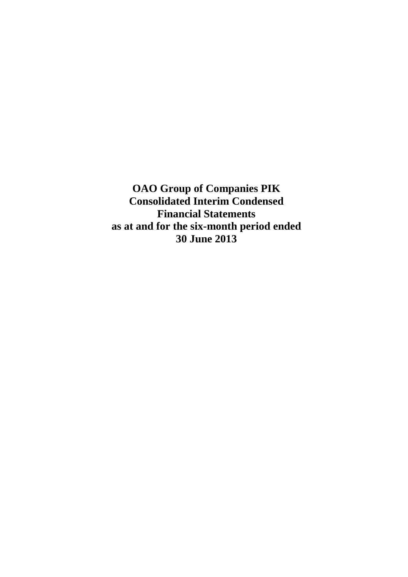**OAO Group of Companies PIK Consolidated Interim Condensed Financial Statements as at and for the six-month period ended 30 June 2013**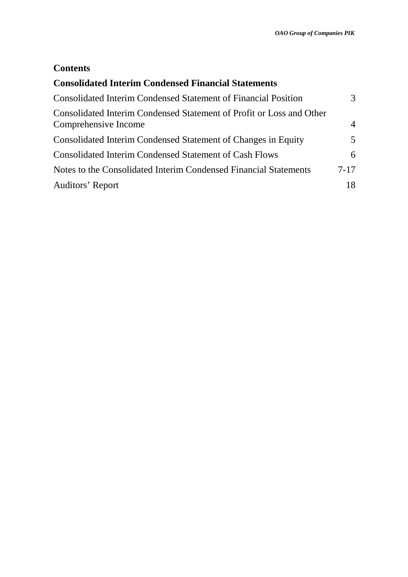# **Contents**

| <b>Consolidated Interim Condensed Financial Statements</b>                                   |                |
|----------------------------------------------------------------------------------------------|----------------|
| <b>Consolidated Interim Condensed Statement of Financial Position</b>                        | 3              |
| Consolidated Interim Condensed Statement of Profit or Loss and Other<br>Comprehensive Income | $\overline{4}$ |
| Consolidated Interim Condensed Statement of Changes in Equity                                | 5.             |
| <b>Consolidated Interim Condensed Statement of Cash Flows</b>                                | 6              |
| Notes to the Consolidated Interim Condensed Financial Statements                             | $7 - 17$       |
| Auditors' Report                                                                             | 18             |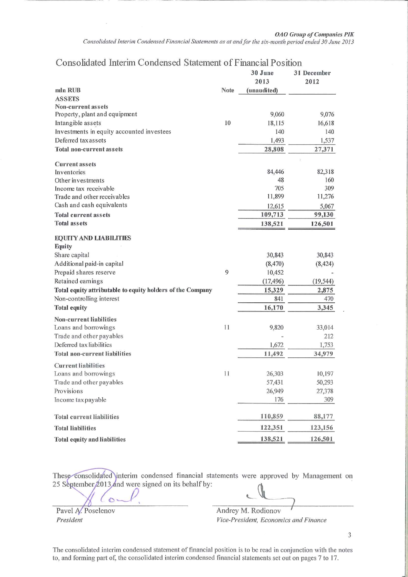### Consolidated Interim Condensed Statement of Financial Position

|                                                            |      | 30 June<br>2013 | 31 December<br>2012 |
|------------------------------------------------------------|------|-----------------|---------------------|
| mln RUB                                                    | Note | (unaudited)     |                     |
| <b>ASSETS</b>                                              |      |                 |                     |
| Non-current assets                                         |      |                 |                     |
| Property, plant and equipment                              |      | 9,060           | 9,076               |
| Intangible assets                                          | 10   | 18,115          | 16,618              |
| Investments in equity accounted investees                  |      | 140             | 140                 |
| Deferred tax assets                                        |      | 1,493           | 1,537               |
| <b>Total non-current assets</b>                            |      | 28,808          | 27,371              |
| <b>Current assets</b>                                      |      |                 |                     |
| Inventories                                                |      | 84,446          | 82,318              |
| Other investments                                          |      | 48              | 160                 |
| Income tax receivable                                      |      | 705             | 309                 |
| Trade and other receivables                                |      | 11,899          | 11,276              |
| Cash and cash equivalents                                  |      | 12,615          | 5,067               |
| <b>Total current assets</b>                                |      | 109,713         | 99,130              |
| <b>Total assets</b>                                        |      | 138,521         | 126,501             |
| <b>EQUITY AND LIABILITIES</b>                              |      |                 |                     |
| Equity                                                     |      |                 |                     |
| Share capital                                              |      | 30,843          | 30,843              |
| Additional paid-in capital                                 |      | (8, 470)        | (8, 424)            |
| Prepaid shares reserve                                     | 9    | 10,452          |                     |
| Retained earnings                                          |      | (17, 496)       | (19, 544)           |
| Total equity attributable to equity holders of the Company |      | 15,329          | 2,875               |
| Non-controlling interest                                   |      | 841             | 470                 |
| <b>Total equity</b>                                        |      | 16,170          | 3,345               |
| Non-current liabilities                                    |      |                 |                     |
| Loans and borrowings                                       | 11   | 9,820           | 33,014              |
| Trade and other payables                                   |      |                 | 212                 |
| Deferred tax liabilities                                   |      | 1,672           | 1,753               |
| <b>Total non-current liabilities</b>                       |      | 11,492          | 34,979              |
| <b>Current liabilities</b><br>Loans and borrowings         | 11   | 26,303          | 10,197              |
| Trade and other payables                                   |      | 57,431          | 50,293              |
| Provisions                                                 |      | 26,949          | 27,378              |
|                                                            |      | 176             | 309                 |
| Income tax payable                                         |      |                 |                     |
| <b>Total current liabilities</b>                           |      | 110,859         | 88,177              |
| <b>Total liabilities</b>                                   |      | 122,351         | 123,156             |
| Total equity and liabilities                               |      | 138,521         | 126,501             |

These consolidated interim condensed financial statements were approved by Management on 25 September 2013 and were signed on its behalf by:

Pavel A. Poselenov President

 $\sigma$ 

Andrey M. Rodionov

Vice-President, Economics and Finance

The consolidated interim condensed statement of financial position is to be read in conjunction with the notes to, and forming part of, the consolidated interim condensed financial statements set out on pages 7 to 17.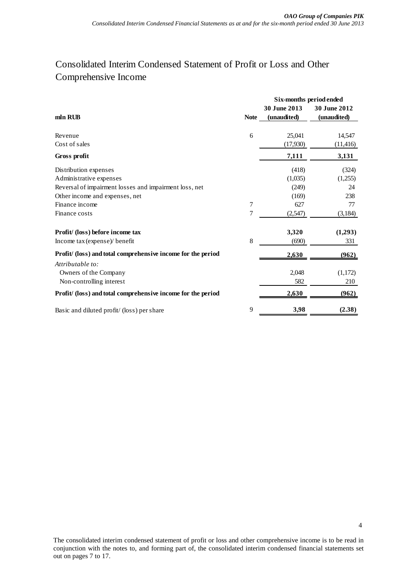# Consolidated Interim Condensed Statement of Profit or Loss and Other Comprehensive Income

|                                                              |             | Six-months period ended |              |  |
|--------------------------------------------------------------|-------------|-------------------------|--------------|--|
|                                                              |             | 30 June 2013            | 30 June 2012 |  |
| mln RUB                                                      | <b>Note</b> | (unaudited)             | (unaudited)  |  |
| Revenue                                                      | 6           | 25,041                  | 14,547       |  |
| Cost of sales                                                |             | (17,930)                | (11, 416)    |  |
| Gross profit                                                 |             | 7,111                   | 3,131        |  |
| Distribution expenses                                        |             | (418)                   | (324)        |  |
| Administrative expenses                                      |             | (1,035)                 | (1,255)      |  |
| Reversal of impairment losses and impairment loss, net       |             | (249)                   | 24           |  |
| Other income and expenses, net                               |             | (169)                   | 238          |  |
| Finance income                                               | 7           | 627                     | 77           |  |
| Finance costs                                                | 7           | (2,547)                 | (3,184)      |  |
| Profit/ (loss) before income tax                             |             | 3,320                   | (1,293)      |  |
| Income tax (expense)/ benefit                                | 8           | (690)                   | 331          |  |
| Profit/ (loss) and total comprehensive income for the period |             | 2,630                   | (962)        |  |
| Attributable to:                                             |             |                         |              |  |
| Owners of the Company                                        |             | 2,048                   | (1,172)      |  |
| Non-controlling interest                                     |             | 582                     | 210          |  |
| Profit/ (loss) and total comprehensive income for the period |             | 2,630                   | (962)        |  |
| Basic and diluted profit/(loss) per share                    | 9           | 3,98                    | (2.38)       |  |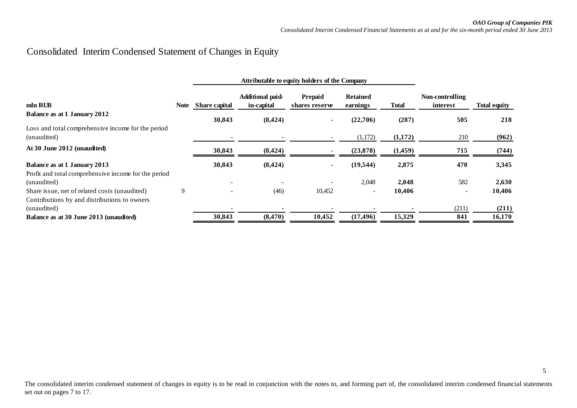# Consolidated Interim Condensed Statement of Changes in Equity

<span id="page-4-0"></span>

|                                                                                             |      |                      | Attributable to equity holders of the Company |                           |                             |              |                             |                     |
|---------------------------------------------------------------------------------------------|------|----------------------|-----------------------------------------------|---------------------------|-----------------------------|--------------|-----------------------------|---------------------|
| mln RUB                                                                                     | Note | <b>Share capital</b> | Additional paid-<br>in-capital                | Prepaid<br>shares reserve | <b>Retained</b><br>earnings | <b>Total</b> | Non-controlling<br>interest | <b>Total equity</b> |
| Balance as at 1 January 2012                                                                |      | 30,843               | (8, 424)                                      |                           | (22,706)                    | (287)        | 505                         | 218                 |
| Loss and total comprehensive income for the period<br>(unaudited)                           |      |                      |                                               |                           | (1,172)                     | (1,172)      | 210                         | (962)               |
| At 30 June 2012 (unaudited)                                                                 |      | 30,843               | (8, 424)                                      |                           | (23, 878)                   | (1,459)      | 715                         | (744)               |
| <b>Balance as at 1 January 2013</b><br>Profit and total comprehensive income for the period |      | 30,843               | (8, 424)                                      |                           | (19, 544)                   | 2,875        | 470                         | 3,345               |
| (unaudited)                                                                                 |      |                      |                                               |                           | 2,048                       | 2,048        | 582                         | 2,630               |
| Share issue, net of related costs (unaudited)                                               | 9    |                      | (46)                                          | 10,452                    |                             | 10.406       |                             | 10,406              |
| Contributions by and distributions to owners<br>(unaudited)                                 |      |                      |                                               |                           |                             |              | (211)                       | (211)               |
| Balance as at 30 June 2013 (unaudited)                                                      |      | 30,843               | (8, 470)                                      | 10,452                    | (17, 496)                   | 15,329       | 841                         | 16,170              |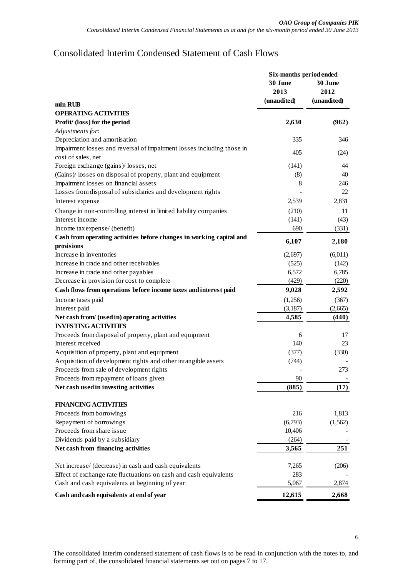# Consolidated Interim Condensed Statement of Cash Flows

<span id="page-5-0"></span>

|                                                                        | Six-months period ended |             |  |
|------------------------------------------------------------------------|-------------------------|-------------|--|
|                                                                        | 30 June                 | 30 June     |  |
|                                                                        | 2013                    | 2012        |  |
| mln RUB                                                                | (unaudited)             | (unaudited) |  |
| <b>OPERATING ACTIVITIES</b>                                            |                         |             |  |
| Profit/ (loss) for the period                                          | 2,630                   | (962)       |  |
| Adjustments for:                                                       |                         |             |  |
| Depreciation and amortisation                                          | 335                     | 346         |  |
| Impairment losses and reversal of impairment losses including those in |                         |             |  |
| cost of sales, net                                                     | 405                     | (24)        |  |
| Foreign exchange (gains)/losses, net                                   | (141)                   | 44          |  |
| (Gains)/ losses on disposal of property, plant and equipment           | (8)                     | 40          |  |
| Impairment losses on financial assets                                  | 8                       | 246         |  |
| Losses from disposal of subsidiaries and development rights            |                         | 22          |  |
| Interest expense                                                       | 2,539                   | 2,831       |  |
| Change in non-controlling interest in limited liability companies      | (210)                   | 11          |  |
| Interest income                                                        | (141)                   | (43)        |  |
| Income tax expense/ (benefit)                                          | 690                     | (331)       |  |
| Cash from operating activities before changes in working capital and   |                         |             |  |
| provisions                                                             | 6,107                   | 2,180       |  |
| Increase in inventories                                                | (2,697)                 | (6,011)     |  |
| Increase in trade and other receivables                                | (525)                   | (142)       |  |
| Increase in trade and other payables                                   | 6,572                   | 6,785       |  |
| Decrease in provision for cost to complete                             | (429)                   | (220)       |  |
| Cash flows from operations before income taxes and interest paid       | 9,028                   | 2,592       |  |
| Income taxes paid                                                      | (1,256)                 | (367)       |  |
| Interest paid                                                          | (3,187)                 | (2,665)     |  |
| Net cash from/ (used in) operating activities                          | 4,585                   | (440)       |  |
| <b>INVESTING ACTIVITIES</b>                                            |                         |             |  |
| Proceeds from disposal of property, plant and equipment                | 6                       | 17          |  |
| Interest received                                                      | 140                     | 23          |  |
| Acquisition of property, plant and equipment                           | (377)                   | (330)       |  |
| Acquisition of development rights and other intangible assets          | (744)                   |             |  |
| Proceeds from sale of development rights                               |                         | 273         |  |
| Proceeds from repayment of loans given                                 | 90                      |             |  |
| Net cash used in investing activities                                  | (885)                   | (17)        |  |
|                                                                        |                         |             |  |
| <b>FINANCING ACTIVITIES</b>                                            |                         |             |  |
| Proceeds from borrowings                                               | 216                     | 1,813       |  |
| Repayment of borrowings                                                | (6,793)                 | (1, 562)    |  |
| Proceeds from share issue                                              | 10,406                  |             |  |
| Dividends paid by a subsidiary                                         | (264)                   |             |  |
| Net cash from financing activities                                     | 3,565                   | 251         |  |
|                                                                        |                         |             |  |
| Net increase/ (decrease) in cash and cash equivalents                  | 7,265                   | (206)       |  |
| Effect of exchange rate fluctuations on cash and cash equivalents      | 283                     |             |  |
| Cash and cash equivalents at beginning of year                         | 5,067                   | 2,874       |  |
| Cash and cash equivalents at end of year                               | 12,615                  | 2,668       |  |

The consolidated interim condensed statement of cash flows is to be read in conjunction with the notes to, and forming part of, the consolidated financial statements set out on pages 7 to 17.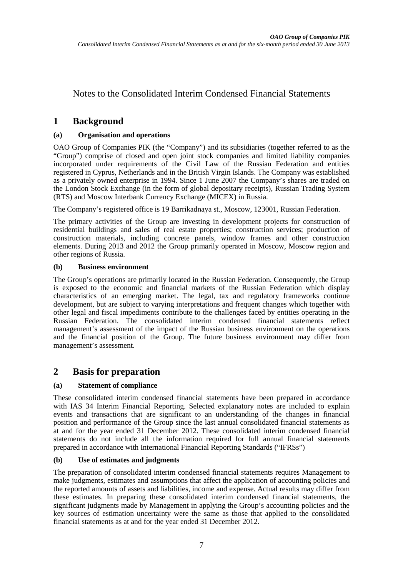# Notes to the Consolidated Interim Condensed Financial Statements

# **1 Background**

### **(a) Organisation and operations**

OAO Group of Companies PIK (the "Company") and its subsidiaries (together referred to as the "Group") comprise of closed and open joint stock companies and limited liability companies incorporated under requirements of the Civil Law of the Russian Federation and entities registered in Cyprus, Netherlands and in the British Virgin Islands. The Company was established as a privately owned enterprise in 1994. Since 1 June 2007 the Company's shares are traded on the London Stock Exchange (in the form of global depositary receipts), Russian Trading System (RTS) and Moscow Interbank Currency Exchange (MICEX) in Russia.

The Company's registered office is 19 Barrikadnaya st., Moscow, 123001, Russian Federation.

The primary activities of the Group are investing in development projects for construction of residential buildings and sales of real estate properties; construction services; production of construction materials, including concrete panels, window frames and other construction elements. During 2013 and 2012 the Group primarily operated in Moscow, Moscow region and other regions of Russia.

### **(b) Business environment**

The Group's operations are primarily located in the Russian Federation. Consequently, the Group is exposed to the economic and financial markets of the Russian Federation which display characteristics of an emerging market. The legal, tax and regulatory frameworks continue development, but are subject to varying interpretations and frequent changes which together with other legal and fiscal impediments contribute to the challenges faced by entities operating in the Russian Federation. The consolidated interim condensed financial statements reflect management's assessment of the impact of the Russian business environment on the operations and the financial position of the Group. The future business environment may differ from management's assessment.

# **2 Basis for preparation**

### **(a) Statement of compliance**

These consolidated interim condensed financial statements have been prepared in accordance with IAS 34 Interim Financial Reporting. Selected explanatory notes are included to explain events and transactions that are significant to an understanding of the changes in financial position and performance of the Group since the last annual consolidated financial statements as at and for the year ended 31 December 2012. These consolidated interim condensed financial statements do not include all the information required for full annual financial statements prepared in accordance with International Financial Reporting Standards ("IFRSs")

### **(b) Use of estimates and judgments**

The preparation of consolidated interim condensed financial statements requires Management to make judgments, estimates and assumptions that affect the application of accounting policies and the reported amounts of assets and liabilities, income and expense. Actual results may differ from these estimates. In preparing these consolidated interim condensed financial statements, the significant judgments made by Management in applying the Group's accounting policies and the key sources of estimation uncertainty were the same as those that applied to the consolidated financial statements as at and for the year ended 31 December 2012.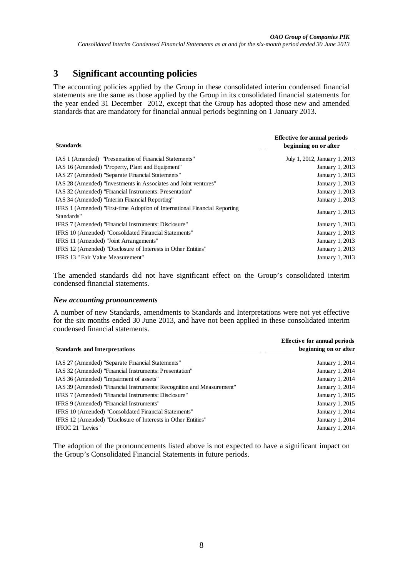# **3 Significant accounting policies**

The accounting policies applied by the Group in these consolidated interim condensed financial statements are the same as those applied by the Group in its consolidated financial statements for the year ended 31 December 2012, except that the Group has adopted those new and amended standards that are mandatory for financial annual periods beginning on 1 January 2013.

| <b>Standards</b>                                                                         | Effective for annual periods<br>beginning on or after |
|------------------------------------------------------------------------------------------|-------------------------------------------------------|
| IAS 1 (Amended) "Presentation of Financial Statements"                                   | July 1, 2012, January 1, 2013                         |
| IAS 16 (Amended) "Property, Plant and Equipment"                                         | January 1, 2013                                       |
| IAS 27 (Amended) "Separate Financial Statements"                                         | January 1, 2013                                       |
| IAS 28 (Amended) "Investments in Associates and Joint ventures"                          | January 1, 2013                                       |
| IAS 32 (Amended) "Financial Instruments: Presentation"                                   | January 1, 2013                                       |
| IAS 34 (Amended) "Interim Financial Reporting"                                           | January 1, 2013                                       |
| IFRS 1 (Amended) "First-time Adoption of International Financial Reporting<br>Standards" | January 1, 2013                                       |
| IFRS 7 (Amended) "Financial Instruments: Disclosure"                                     | January 1, 2013                                       |
| IFRS 10 (Amended) "Consolidated Financial Statements"                                    | January 1, 2013                                       |
| IFRS 11 (Amended) "Joint Arrangements"                                                   | January 1, 2013                                       |
| IFRS 12 (Amended) "Disclosure of Interests in Other Entities"                            | January 1, 2013                                       |
| IFRS 13 " Fair Value Measurement"                                                        | January 1, 2013                                       |

The amended standards did not have significant effect on the Group's consolidated interim condensed financial statements.

#### *New accounting pronouncements*

A number of new Standards, amendments to Standards and Interpretations were not yet effective for the six months ended 30 June 2013, and have not been applied in these consolidated interim condensed financial statements.

|                                                                       | <b>Effective for annual periods</b> |
|-----------------------------------------------------------------------|-------------------------------------|
| <b>Standards and Interpretations</b>                                  | beginning on or after               |
|                                                                       |                                     |
| IAS 27 (Amended) "Separate Financial Statements"                      | January 1, 2014                     |
| IAS 32 (Amended) "Financial Instruments: Presentation"                | January 1, 2014                     |
| IAS 36 (Amended) "Impairment of assets"                               | January 1, 2014                     |
| IAS 39 (Amended) "Financial Instruments: Recognition and Measurement" | January 1, 2014                     |
| IFRS 7 (Amended) "Financial Instruments: Disclosure"                  | January 1, 2015                     |
| IFRS 9 (Amended) "Financial Instruments"                              | January 1, 2015                     |
| IFRS 10 (Amended) "Consolidated Financial Statements"                 | January 1, 2014                     |
| IFRS 12 (Amended) "Disclosure of Interests in Other Entities"         | January 1, 2014                     |
| IFRIC 21 "Levies"                                                     | January 1, 2014                     |

The adoption of the pronouncements listed above is not expected to have a significant impact on the Group's Consolidated Financial Statements in future periods.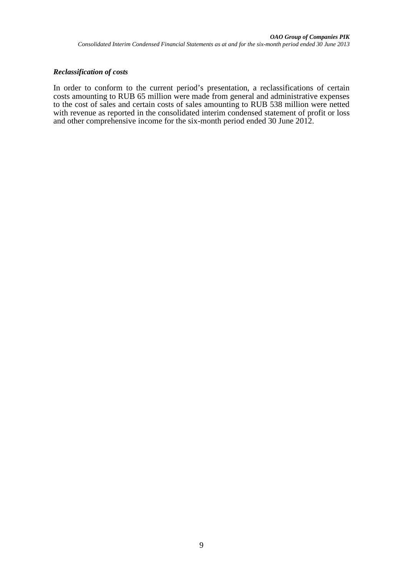### *Reclassification of costs*

In order to conform to the current period's presentation, a reclassifications of certain costs amounting to RUB 65 million were made from general and administrative expenses to the cost of sales and certain costs of sales amounting to RUB 538 million were netted with revenue as reported in the consolidated interim condensed statement of profit or loss and other comprehensive income for the six-month period ended 30 June 2012.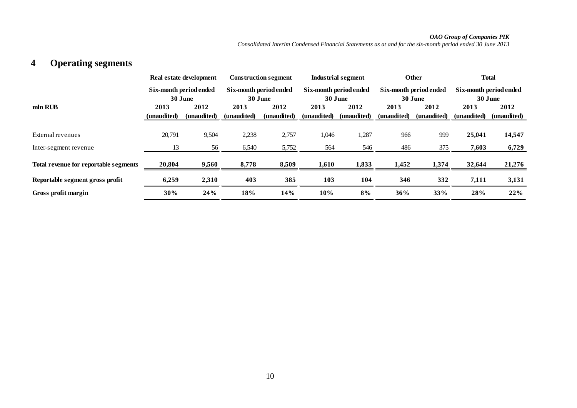### *OAO Group of Companies PIK*

*Consolidated Interim Condensed Financial Statements as at and for the six-month period ended 30 June 2013*

# **4 Operating segments**

|                                       |                        | Real estate development |                        | <b>Construction segment</b> |                        | Industrial segment |                        | <b>Other</b> |                        | <b>Total</b> |
|---------------------------------------|------------------------|-------------------------|------------------------|-----------------------------|------------------------|--------------------|------------------------|--------------|------------------------|--------------|
|                                       | Six-month period ended |                         | Six-month period ended |                             | Six-month period ended |                    | Six-month period ended |              | Six-month period ended |              |
|                                       | 30 June                |                         | 30 June                |                             | 30 June                |                    | 30 June                |              | 30 June                |              |
| mln RUB                               | 2013                   | 2012                    | 2013                   | 2012                        | 2013                   | 2012               | 2013                   | 2012         | 2013                   | 2012         |
|                                       | (unaudited)            | (unaudited)             | (unaudited)            | (unaudited)                 | (unaudited)            | (unaudited)        | (unaudited)            | (unaudited)  | (unaudited)            | (unaudited)  |
|                                       |                        |                         |                        |                             |                        |                    |                        |              |                        |              |
| External revenues                     | 20,791                 | 9,504                   | 2,238                  | 2,757                       | 1,046                  | 1,287              | 966                    | 999          | 25,041                 | 14,547       |
| Inter-segment revenue                 | 13                     | 56                      | 6,540                  | 5,752                       | 564                    | 546                | 486                    | 375          | 7,603                  | 6,729        |
| Total revenue for reportable segments | 20,804                 | 9,560                   | 8,778                  | 8,509                       | 1,610                  | 1,833              | 1,452                  | 1,374        | 32,644                 | 21,276       |
| Reportable segment gross profit       | 6,259                  | 2,310                   | 403                    | 385                         | 103                    | 104                | 346                    | 332          | 7,111                  | 3,131        |
| Gross profit margin                   | 30%                    | 24%                     | 18%                    | 14%                         | 10%                    | 8%                 | 36%                    | 33%          | 28%                    | 22%          |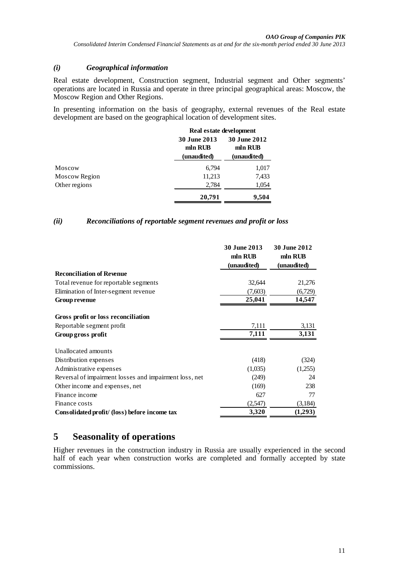### *(i) Geographical information*

Real estate development, Construction segment, Industrial segment and Other segments' operations are located in Russia and operate in three principal geographical areas: Moscow, the Moscow Region and Other Regions.

In presenting information on the basis of geography, external revenues of the Real estate development are based on the geographical location of development sites.

|               |                                               | Real estate development                       |  |  |  |
|---------------|-----------------------------------------------|-----------------------------------------------|--|--|--|
|               | <b>30 June 2013</b><br>mln RUB<br>(unaudited) | <b>30 June 2012</b><br>mln RUB<br>(unaudited) |  |  |  |
| Moscow        | 6,794                                         | 1,017                                         |  |  |  |
| Moscow Region | 11,213                                        | 7,433                                         |  |  |  |
| Other regions | 2,784                                         | 1,054                                         |  |  |  |
|               | 20,791                                        | 9,504                                         |  |  |  |

### *(ii) Reconciliations of reportable segment revenues and profit or loss*

|                                                        | 30 June 2013<br>mln RUB<br>(unaudited) | 30 June 2012<br>mln RUB<br>(unaudited) |
|--------------------------------------------------------|----------------------------------------|----------------------------------------|
| <b>Reconciliation of Revenue</b>                       |                                        |                                        |
| Total revenue for reportable segments                  | 32,644                                 | 21,276                                 |
| Elimination of Inter-segment revenue                   | (7,603)                                | (6,729)                                |
| <b>Group revenue</b>                                   | 25,041                                 | 14,547                                 |
| Gross profit or loss reconciliation                    |                                        |                                        |
| Reportable segment profit                              | 7,111                                  | 3,131                                  |
| Group gross profit                                     | 7,111                                  | 3,131                                  |
| Unallocated amounts                                    |                                        |                                        |
| Distribution expenses                                  | (418)                                  | (324)                                  |
| Administrative expenses                                | (1,035)                                | (1,255)                                |
| Reversal of impairment losses and impairment loss, net | (249)                                  | 24                                     |
| Other income and expenses, net                         | (169)                                  | 238                                    |
| Finance income                                         | 627                                    | 77                                     |
| Finance costs                                          | (2,547)                                | (3,184)                                |
| Consolidated profit/ (loss) before income tax          | 3,320                                  | (1,293)                                |

# **5 Seasonality of operations**

Higher revenues in the construction industry in Russia are usually experienced in the second half of each year when construction works are completed and formally accepted by state commissions.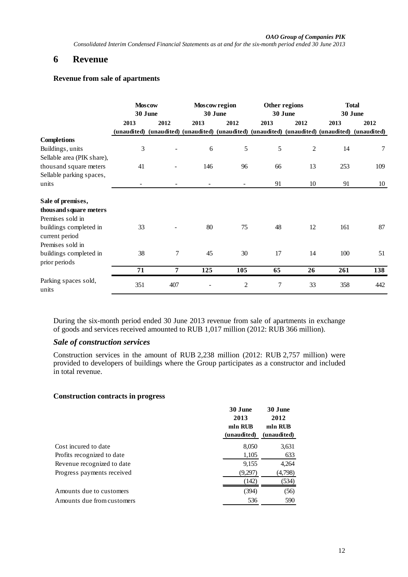# **6 Revenue**

### **Revenue from sale of apartments**

|                                                                 | <b>Moscow</b><br>30 June |                |      | Moscow region<br>30 June |      | Other regions<br>30 June | <b>Total</b><br>30 June |                                                                                             |  |
|-----------------------------------------------------------------|--------------------------|----------------|------|--------------------------|------|--------------------------|-------------------------|---------------------------------------------------------------------------------------------|--|
|                                                                 | 2013<br>(unaudited)      | 2012           | 2013 | 2012                     | 2013 | 2012                     | 2013                    | 2012<br>(unaudited) (unaudited) (unaudited) (unaudited) (unaudited) (unaudited) (unaudited) |  |
| <b>Completions</b>                                              |                          |                |      |                          |      |                          |                         |                                                                                             |  |
| Buildings, units                                                | 3                        |                | 6    | 5                        | 5    | $\overline{2}$           | 14                      | 7                                                                                           |  |
| Sellable area (PIK share),                                      |                          |                |      |                          |      |                          |                         |                                                                                             |  |
| thousand square meters                                          | 41                       |                | 146  | 96                       | 66   | 13                       | 253                     | 109                                                                                         |  |
| Sellable parking spaces,                                        |                          |                |      |                          |      |                          |                         |                                                                                             |  |
| units                                                           |                          |                |      |                          | 91   | 10                       | 91                      | 10                                                                                          |  |
| Sale of premises,<br>thousand square meters<br>Premises sold in |                          |                |      |                          |      |                          |                         |                                                                                             |  |
| buildings completed in<br>current period                        | 33                       |                | 80   | 75                       | 48   | 12                       | 161                     | 87                                                                                          |  |
| Premises sold in                                                |                          |                |      |                          |      |                          |                         |                                                                                             |  |
| buildings completed in<br>prior periods                         | 38                       | 7              | 45   | 30                       | 17   | 14                       | 100                     | 51                                                                                          |  |
|                                                                 | 71                       | $\overline{7}$ | 125  | 105                      | 65   | 26                       | 261                     | 138                                                                                         |  |
| Parking spaces sold,<br>units                                   | 351                      | 407            |      | $\overline{c}$           | 7    | 33                       | 358                     | 442                                                                                         |  |

During the six-month period ended 30 June 2013 revenue from sale of apartments in exchange of goods and services received amounted to RUB 1,017 million (2012: RUB 366 million).

### *Sale of construction services*

Construction services in the amount of RUB 2,238 million (2012: RUB 2,757 million) were provided to developers of buildings where the Group participates as a constructor and included in total revenue.

#### **Construction contracts in progress**

|                            | 30 June<br>2013 | 30 June<br>2012 |
|----------------------------|-----------------|-----------------|
|                            | mln RUB         | mln RUB         |
|                            | (unaudited)     | (unaudited)     |
| Cost incured to date       | 8,050           | 3,631           |
| Profits recognized to date | 1,105           | 633             |
| Revenue recognized to date | 9,155           | 4,264           |
| Progress payments received | (9,297)         | (4,798)         |
|                            | (142)           | (534)           |
| Amounts due to customers   | (394)           | (56)            |
| Amounts due from customers | 536             | 590             |
|                            |                 |                 |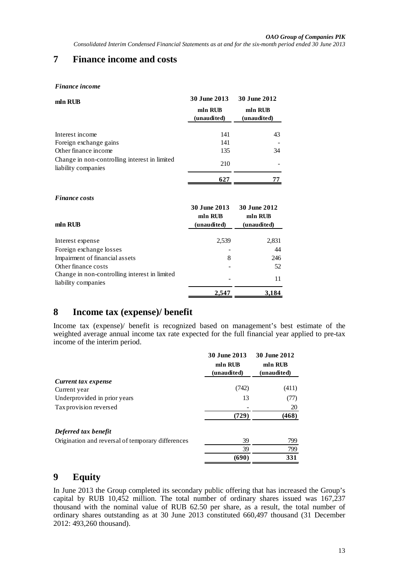# **7 Finance income and costs**

#### *Finance income*

| mln RUB                                                              | 30 June 2013           | 30 June 2012           |
|----------------------------------------------------------------------|------------------------|------------------------|
|                                                                      | mln RUB<br>(unaudited) | mln RUB<br>(unaudited) |
| Interest income                                                      | 141                    | 43                     |
| Foreign exchange gains                                               | 141                    |                        |
| Other finance income                                                 | 135                    | 34                     |
| Change in non-controlling interest in limited<br>liability companies | 210                    |                        |
|                                                                      | 627                    |                        |

#### *Finance costs*

| mln RUB                                       | 30 June 2013<br>mln RUB<br>(unaudited) | <b>30 June 2012</b><br>mln RUB<br>(unaudited) |
|-----------------------------------------------|----------------------------------------|-----------------------------------------------|
|                                               |                                        |                                               |
| Interest expense                              | 2,539                                  | 2,831                                         |
| Foreign exchange losses                       |                                        | 44                                            |
| Impairment of financial assets                | 8                                      | 246                                           |
| Other finance costs                           |                                        | 52                                            |
| Change in non-controlling interest in limited |                                        |                                               |
| liability companies                           |                                        | 11                                            |
|                                               | 2.547                                  | 3,184                                         |

# **8 Income tax (expense)/ benefit**

Income tax (expense)/ benefit is recognized based on management's best estimate of the weighted average annual income tax rate expected for the full financial year applied to pre-tax income of the interim period.

|                                                   | 30 June 2013<br>mln RUB<br>(unaudited) | 30 June 2012<br>mln RUB<br>(unaudited) |
|---------------------------------------------------|----------------------------------------|----------------------------------------|
| Current tax expense                               |                                        |                                        |
| Current year                                      | (742)                                  | (411)                                  |
| Underprovided in prior years                      | 13                                     | (77)                                   |
| Tax provision reversed                            |                                        | 20                                     |
|                                                   | (729)                                  | (468)                                  |
| Deferred tax benefit                              |                                        |                                        |
| Origination and reversal of temporary differences | 39                                     | 799                                    |
|                                                   | 39                                     | 799                                    |
|                                                   | (690)                                  | 331                                    |

# **9 Equity**

In June 2013 the Group completed its secondary public offering that has increased the Group's capital by RUB 10,452 million. The total number of ordinary shares issued was  $167,237$ thousand with the nominal value of RUB 62.50 per share, as a result, the total number of ordinary shares outstanding as at 30 June 2013 constituted 660,497 thousand (31 December 2012: 493,260 thousand).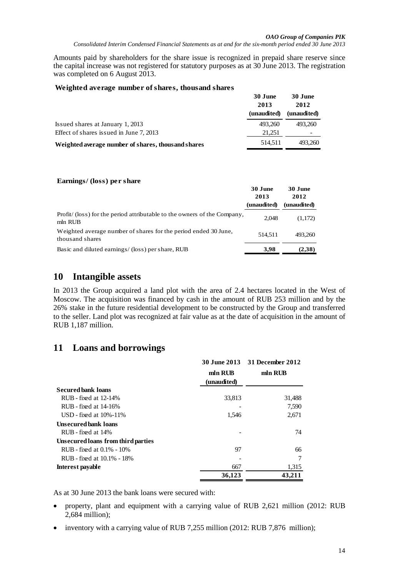**30 June** 

**30 June** 

Amounts paid by shareholders for the share issue is recognized in prepaid share reserve since the capital increase was not registered for statutory purposes as at 30 June 2013. The registration was completed on 6 August 2013.

#### **Weighted average number of shares, thousand shares**

|                                                     | эл тапс<br>2013 | эл типе<br>2012 |
|-----------------------------------------------------|-----------------|-----------------|
|                                                     | (unaudited)     | (unaudited)     |
| Issued shares at January 1, 2013                    | 493.260         | 493.260         |
| Effect of shares issued in June 7, 2013             | 21.251          |                 |
| Weighted average number of shares, thous and shares | 514.511         | 493.260         |

#### **Earnings/ (loss) per share**

|                                                                                     | 30 June<br>2013<br>(unaudited) | 30 June<br>2012<br>(unaudited) |
|-------------------------------------------------------------------------------------|--------------------------------|--------------------------------|
| Profit/ (loss) for the period attributable to the owners of the Company,<br>mln RUB | 2.048                          | (1,172)                        |
| Weighted average number of shares for the period ended 30 June.<br>thousand shares  | 514.511                        | 493.260                        |
| Basic and diluted earnings/ (loss) per share, RUB                                   | 3,98                           | (2,38)                         |

### **10 Intangible assets**

In 2013 the Group acquired a land plot with the area of 2.4 hectares located in the West of Moscow. The acquisition was financed by cash in the amount of RUB 253 million and by the 26% stake in the future residential development to be constructed by the Group and transferred to the seller. Land plot was recognized at fair value as at the date of acquisition in the amount of RUB 1,187 million.

# **11 Loans and borrowings**

|                                    |             | 30 June 2013 31 December 2012 |
|------------------------------------|-------------|-------------------------------|
|                                    | mln RUB     | mln RUB                       |
|                                    | (unaudited) |                               |
| <b>Secured bank loans</b>          |             |                               |
| RUB - fixed at 12-14%              | 33,813      | 31,488                        |
| $RUB$ - fixed at 14-16%            |             | 7,590                         |
| USD - fixed at $10\% - 11\%$       | 1,546       | 2,671                         |
| <b>Unsecured bank loans</b>        |             |                               |
| RUB - fixed at 14%                 |             | 74                            |
| Unsecured loans from third parties |             |                               |
| RUB - fixed at 0.1% - 10%          | 97          | 66                            |
| RUB - fixed at 10.1% - 18%         |             | 7                             |
| Interest payable                   | 667         | 1,315                         |
|                                    | 36,123      | 43.211                        |

As at 30 June 2013 the bank loans were secured with:

- property, plant and equipment with a carrying value of RUB 2,621 million (2012: RUB 2,684 million);
- inventory with a carrying value of RUB 7,255 million (2012: RUB 7,876 million);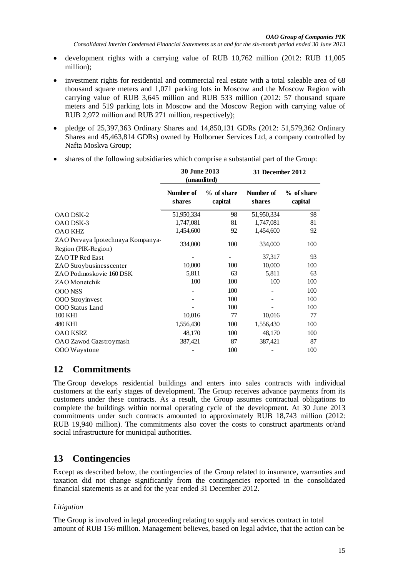- development rights with a carrying value of RUB 10,762 million (2012: RUB 11,005 million);
- investment rights for residential and commercial real estate with a total saleable area of 68 thousand square meters and 1,071 parking lots in Moscow and the Moscow Region with carrying value of RUB 3,645 million and RUB 533 million (2012: 57 thousand square meters and 519 parking lots in Moscow and the Moscow Region with carrying value of RUB 2,972 million and RUB 271 million, respectively);
- pledge of 25,397,363 Ordinary Shares and 14,850,131 GDRs (2012: 51,579,362 Ordinary Shares and 45,463,814 GDRs) owned by Holborner Services Ltd, a company controlled by Nafta Moskva Group;
- shares of the following subsidiaries which comprise a substantial part of the Group:

|                                                          | <b>30 June 2013</b><br>(unaudited) |                       | 31 December 2012    |                       |
|----------------------------------------------------------|------------------------------------|-----------------------|---------------------|-----------------------|
|                                                          | Number of<br>shares                | % of share<br>capital | Number of<br>shares | % of share<br>capital |
| OAO DSK-2                                                | 51,950,334                         | 98                    | 51,950,334          | 98                    |
| OAO DSK-3                                                | 1,747,081                          | 81                    | 1,747,081           | 81                    |
| <b>OAO KHZ</b>                                           | 1,454,600                          | 92                    | 1,454,600           | 92                    |
| ZAO Pervaya Ipotechnaya Kompanya-<br>Region (PIK-Region) | 334,000                            | 100                   | 334,000             | 100                   |
| ZAO TP Red East                                          |                                    |                       | 37,317              | 93                    |
| ZAO Stroybusines scenter                                 | 10,000                             | 100                   | 10,000              | 100                   |
| ZAO Podmoskovie 160 DSK                                  | 5,811                              | 63                    | 5,811               | 63                    |
| ZAO Monetchik                                            | 100                                | 100                   | 100                 | 100                   |
| <b>OOO NSS</b>                                           |                                    | 100                   |                     | 100                   |
| <b>OOO</b> Stroyinvest                                   |                                    | 100                   |                     | 100                   |
| OOO Status Land                                          |                                    | 100                   |                     | 100                   |
| 100 KHI                                                  | 10,016                             | 77                    | 10,016              | 77                    |
| 480 KHI                                                  | 1,556,430                          | 100                   | 1,556,430           | 100                   |
| <b>OAO KSRZ</b>                                          | 48,170                             | 100                   | 48,170              | 100                   |
| OAO Zawod Gazstroymash                                   | 387,421                            | 87                    | 387,421             | 87                    |
| OOO Waystone                                             |                                    | 100                   |                     | 100                   |

# **12 Commitments**

The Group develops residential buildings and enters into sales contracts with individual customers at the early stages of development. The Group receives advance payments from its customers under these contracts. As a result, the Group assumes contractual obligations to complete the buildings within normal operating cycle of the development. At 30 June 2013 commitments under such contracts amounted to approximately RUB 18,743 million (2012: RUB 19,940 million). The commitments also cover the costs to construct apartments or/and social infrastructure for municipal authorities.

# **13 Contingencies**

Except as described below, the contingencies of the Group related to insurance, warranties and taxation did not change significantly from the contingencies reported in the consolidated financial statements as at and for the year ended 31 December 2012.

#### *Litigation*

The Group is involved in legal proceeding relating to supply and services contract in total amount of RUB 156 million. Management believes, based on legal advice, that the action can be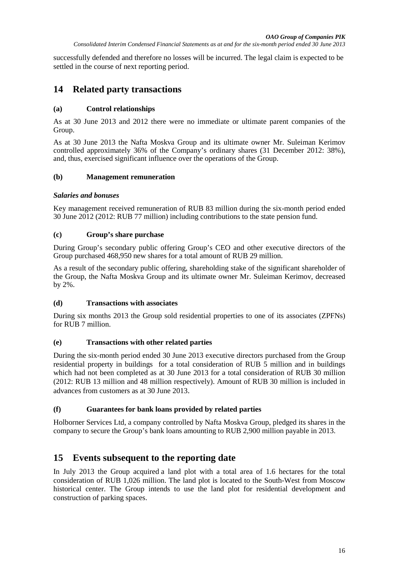successfully defended and therefore no losses will be incurred. The legal claim is expected to be settled in the course of next reporting period.

# **14 Related party transactions**

### **(a) Control relationships**

As at 30 June 2013 and 2012 there were no immediate or ultimate parent companies of the Group.

As at 30 June 2013 the Nafta Moskva Group and its ultimate owner Mr. Suleiman Kerimov controlled approximately 36% of the Company's ordinary shares (31 December 2012: 38%), and, thus, exercised significant influence over the operations of the Group.

### **(b) Management remuneration**

#### *Salaries and bonuses*

Key management received remuneration of RUB 83 million during the six-month period ended 30 June 2012 (2012: RUB 77 million) including contributions to the state pension fund.

### **(c) Group's share purchase**

During Group's secondary public offering Group's CEO and other executive directors of the Group purchased 468,950 new shares for a total amount of RUB 29 million.

As a result of the secondary public offering, shareholding stake of the significant shareholder of the Group, the Nafta Moskva Group and its ultimate owner Mr. Suleiman Kerimov, decreased by 2%.

#### **(d) Transactions with associates**

During six months 2013 the Group sold residential properties to one of its associates (ZPFNs) for RUB 7 million.

#### **(e) Transactions with other related parties**

During the six-month period ended 30 June 2013 executive directors purchased from the Group residential property in buildings for a total consideration of RUB 5 million and in buildings which had not been completed as at 30 June 2013 for a total consideration of RUB 30 million (2012: RUB 13 million and 48 million respectively). Amount of RUB 30 million is included in advances from customers as at 30 June 2013.

### **(f) Guarantees for bank loans provided by related parties**

Holborner Services Ltd, a company controlled by Nafta Moskva Group, pledged its shares in the company to secure the Group's bank loans amounting to RUB 2,900 million payable in 2013.

# **15 Events subsequent to the reporting date**

In July 2013 the Group acquired a land plot with a total area of 1.6 hectares for the total consideration of RUB 1,026 million. The land plot is located to the South-West from Moscow historical center. The Group intends to use the land plot for residential development and construction of parking spaces.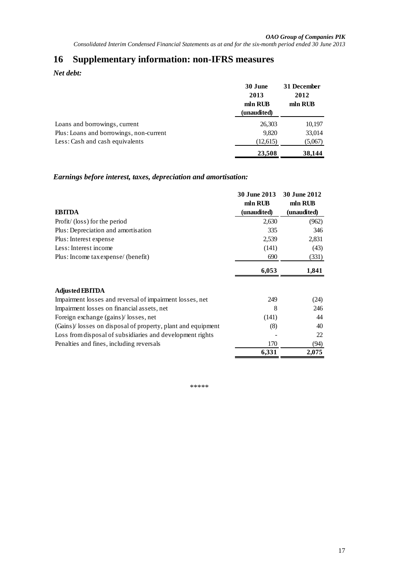# **16 Supplementary information: non-IFRS measures**

*Net debt:*

|                                         | 30 June<br>2013<br>mln RUB<br>(unaudited) | 31 December<br>2012<br>mln RUB |
|-----------------------------------------|-------------------------------------------|--------------------------------|
| Loans and borrowings, current           | 26,303                                    | 10,197                         |
| Plus: Loans and borrowings, non-current | 9.820                                     | 33,014                         |
| Less: Cash and cash equivalents         | (12,615)                                  | (5,067)                        |
|                                         | 23,508                                    | 38,144                         |

### *Earnings before interest, taxes, depreciation and amortisation:*

|                                                             | 30 June 2013 | 30 June 2012 |
|-------------------------------------------------------------|--------------|--------------|
|                                                             | mln RUB      | mln RUB      |
| <b>EBITDA</b>                                               | (unaudited)  | (unaudited)  |
| Profit/ (loss) for the period                               | 2,630        | (962)        |
| Plus: Depreciation and amortisation                         | 335          | 346          |
| Plus: Interest expense                                      | 2,539        | 2,831        |
| Less: Interest income                                       | (141)        | (43)         |
| Plus: Income tax expense/ (benefit)                         | 690          | (331)        |
|                                                             | 6,053        | 1,841        |
| <b>Adjusted EBITDA</b>                                      |              |              |
| Impairment losses and reversal of impairment losses, net    | 249          | (24)         |
| Impairment losses on financial assets, net                  | 8            | 246          |
| Foreign exchange (gains)/losses, net                        | (141)        | 44           |
| (Gains)/losses on disposal of property, plant and equipment | (8)          | 40           |
| Loss from disposal of subsidiaries and development rights   |              | 22           |
| Penalties and fines, including reversals                    | 170          | (94)         |
|                                                             | 6,331        | 2,075        |

\*\*\*\*\*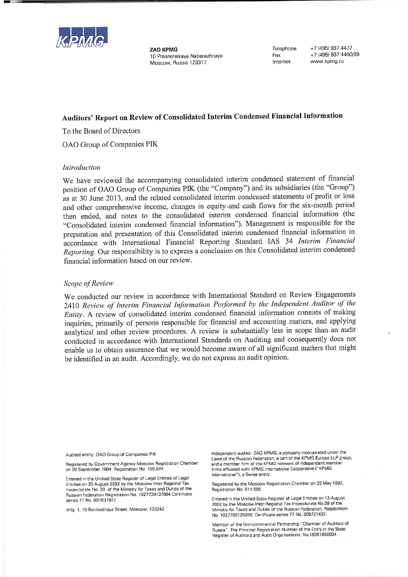

**ZAO KPMG** 10 Presnenskaya Naberezhnaya Moscow, Russia 123317

Telephone Fax Internet

+7 (495) 937 4477 +7 (495) 937 4400/99 www.kpmg.ru

# Auditors' Report on Review of Consolidated Interim Condensed Financial Information

To the Board of Directors

OAO Group of Companies PIK

#### Introduction

We have reviewed the accompanying consolidated interim condensed statement of financial position of OAO Group of Companies PIK (the "Company") and its subsidiaries (the "Group") as at 30 June 2013, and the related consolidated interim condensed statements of profit or loss and other comprehensive income, changes in equity-and cash flows for the six-month period then ended, and notes to the consolidated interim condensed financial information (the "Consolidated interim condensed financial information"). Management is responsible for the preparation and presentation of this Consolidated interim condensed financial information in accordance with International Financial Reporting Standard IAS 34 Interim Financial Reporting. Our responsibility is to express a conclusion on this Consolidated interim condensed financial information based on our review.

#### Scope of Review

We conducted our review in accordance with International Standard on Review Engagements 2410 Review of Interim Financial Information Performed by the Independent Auditor of the Entity. A review of consolidated interim condensed financial information consists of making inquiries, primarily of persons responsible for financial and accounting matters, and applying analytical and other review procedures. A review is substantially less in scope than an audit conducted in accordance with International Standards on Auditing and consequently does not enable us to obtain assurance that we would become aware of all significant matters that might be identified in an audit. Accordingly, we do not express an audit opinion.

Audited entity: OAO Group of Companies PIK

Registered by Government Agency Moscow Registration Chamber on 20 September 1994 Registration No. 756.924

Entered in the Unified State Register of Legal Entities of Legal Entities on 30 August 2002 by the Moscow Inter-Regional Tax Inspectorate No. 30 of the Ministry for Taxes and Duties of the Russian Federation Registration No. 1027739137084 Certificate series 77 No. 007637627

bldg. 1, 19 Barrikadnaya Street, Moscow, 123242

Independent auditor: ZAO KPMG, a company incorporated under the Laws of the Russian Federation, a part of the KPMG Europe LLP group, and a member firm of the KPMG network of independent member firms affiliated with KPMG International Cooperative ("KPMG International"), a Swiss entity

Registered by the Moscow Registration Chamber on 25 May 1992, Registration No. 011.585.

Entered in the Unified State Register of Legal Entities on 13 August 2002 by the Moscow Inter-Regional Tax Inspectorate No.39 of the Ministry for Taxes and Duties of the Russian Federation, Registration No. 1027700125628. Certificate series 77 No. 005721432

Member of the Non-commercial Partnership "Chamber of Auditors of Russia". The Principal Registration Number of the Entry in the State Register of Auditors and Audit Organisations: No.10301000804.